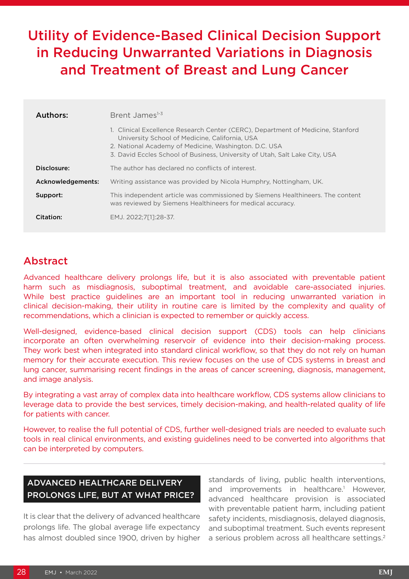# Utility of Evidence-Based Clinical Decision Support in Reducing Unwarranted Variations in Diagnosis and Treatment of Breast and Lung Cancer

| Authors:          | Brent James <sup>1-3</sup>                                                                                                                                                                                                                                                |
|-------------------|---------------------------------------------------------------------------------------------------------------------------------------------------------------------------------------------------------------------------------------------------------------------------|
|                   | 1. Clinical Excellence Research Center (CERC), Department of Medicine, Stanford<br>University School of Medicine, California, USA<br>2. National Academy of Medicine, Washington. D.C. USA<br>3. David Eccles School of Business, University of Utah, Salt Lake City, USA |
| Disclosure:       | The author has declared no conflicts of interest.                                                                                                                                                                                                                         |
| Acknowledgements: | Writing assistance was provided by Nicola Humphry, Nottingham, UK.                                                                                                                                                                                                        |
| Support:          | This independent article was commissioned by Siemens Healthineers. The content<br>was reviewed by Siemens Healthineers for medical accuracy.                                                                                                                              |
| Citation:         | EMJ. 2022:7[11:28-37.                                                                                                                                                                                                                                                     |

# Abstract

Advanced healthcare delivery prolongs life, but it is also associated with preventable patient harm such as misdiagnosis, suboptimal treatment, and avoidable care-associated injuries. While best practice guidelines are an important tool in reducing unwarranted variation in clinical decision-making, their utility in routine care is limited by the complexity and quality of recommendations, which a clinician is expected to remember or quickly access.

Well-designed, evidence-based clinical decision support (CDS) tools can help clinicians incorporate an often overwhelming reservoir of evidence into their decision-making process. They work best when integrated into standard clinical workflow, so that they do not rely on human memory for their accurate execution. This review focuses on the use of CDS systems in breast and lung cancer, summarising recent findings in the areas of cancer screening, diagnosis, management, and image analysis.

By integrating a vast array of complex data into healthcare workflow, CDS systems allow clinicians to leverage data to provide the best services, timely decision-making, and health-related quality of life for patients with cancer.

However, to realise the full potential of CDS, further well-designed trials are needed to evaluate such tools in real clinical environments, and existing guidelines need to be converted into algorithms that can be interpreted by computers.

# ADVANCED HEALTHCARE DELIVERY PROLONGS LIFE, BUT AT WHAT PRICE?

It is clear that the delivery of advanced healthcare prolongs life. The global average life expectancy has almost doubled since 1900, driven by higher

standards of living, public health interventions, and improvements in healthcare.<sup>1</sup> However, advanced healthcare provision is associated with preventable patient harm, including patient safety incidents, misdiagnosis, delayed diagnosis, and suboptimal treatment. Such events represent a serious problem across all healthcare settings.<sup>2</sup>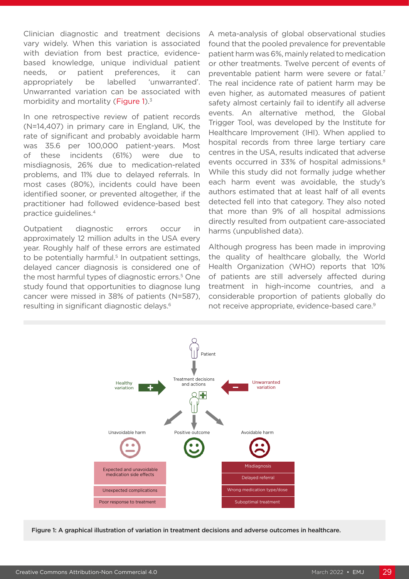Clinician diagnostic and treatment decisions vary widely. When this variation is associated with deviation from best practice, evidencebased knowledge, unique individual patient needs, or patient preferences, it can appropriately be labelled 'unwarranted'. Unwarranted variation can be associated with morbidity and mortality (Figure 1).<sup>3</sup>

In one retrospective review of patient records (N=14,407) in primary care in England, UK, the rate of significant and probably avoidable harm was 35.6 per 100,000 patient-years. Most of these incidents (61%) were due to misdiagnosis, 26% due to medication-related problems, and 11% due to delayed referrals. In most cases (80%), incidents could have been identified sooner, or prevented altogether, if the practitioner had followed evidence-based best practice guidelines.4

Outpatient diagnostic errors occur in approximately 12 million adults in the USA every year. Roughly half of these errors are estimated to be potentially harmful.<sup>5</sup> In outpatient settings, delayed cancer diagnosis is considered one of the most harmful types of diagnostic errors.<sup>5</sup> One study found that opportunities to diagnose lung cancer were missed in 38% of patients (N=587), resulting in significant diagnostic delays.6

A meta-analysis of global observational studies found that the pooled prevalence for preventable patient harm was 6%, mainly related to medication or other treatments. Twelve percent of events of preventable patient harm were severe or fatal.7 The real incidence rate of patient harm may be even higher, as automated measures of patient safety almost certainly fail to identify all adverse events. An alternative method, the Global Trigger Tool, was developed by the Institute for Healthcare Improvement (IHI). When applied to hospital records from three large tertiary care centres in the USA, results indicated that adverse events occurred in 33% of hospital admissions.<sup>8</sup> While this study did not formally judge whether each harm event was avoidable, the study's authors estimated that at least half of all events detected fell into that category. They also noted that more than 9% of all hospital admissions directly resulted from outpatient care-associated harms (unpublished data).

Although progress has been made in improving the quality of healthcare globally, the World Health Organization (WHO) reports that 10% of patients are still adversely affected during treatment in high-income countries, and a considerable proportion of patients globally do not receive appropriate, evidence-based care.9



Figure 1: A graphical illustration of variation in treatment decisions and adverse outcomes in healthcare.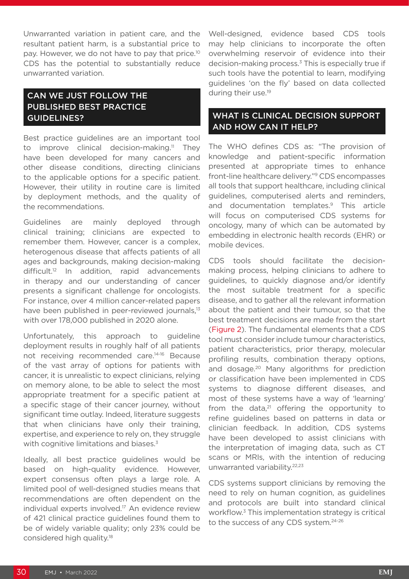Unwarranted variation in patient care, and the resultant patient harm, is a substantial price to pay. However, we do not have to pay that price.<sup>10</sup> CDS has the potential to substantially reduce unwarranted variation.

# CAN WE JUST FOLLOW THE PUBLISHED BEST PRACTICE GUIDELINES?

Best practice guidelines are an important tool to improve clinical decision-making.<sup>11</sup> They have been developed for many cancers and other disease conditions, directing clinicians to the applicable options for a specific patient. However, their utility in routine care is limited by deployment methods, and the quality of the recommendations.

Guidelines are mainly deployed through clinical training; clinicians are expected to remember them. However, cancer is a complex, heterogenous disease that affects patients of all ages and backgrounds, making decision-making difficult.<sup>12</sup> In addition, rapid advancements in therapy and our understanding of cancer presents a significant challenge for oncologists. For instance, over 4 million cancer-related papers have been published in peer-reviewed journals,<sup>13</sup> with over 178,000 published in 2020 alone.

Unfortunately, this approach to guideline deployment results in roughly half of all patients not receiving recommended care.14-16 Because of the vast array of options for patients with cancer, it is unrealistic to expect clinicians, relying on memory alone, to be able to select the most appropriate treatment for a specific patient at a specific stage of their cancer journey, without significant time outlay. Indeed, literature suggests that when clinicians have only their training, expertise, and experience to rely on, they struggle with cognitive limitations and biases.<sup>3</sup>

Ideally, all best practice guidelines would be based on high-quality evidence. However, expert consensus often plays a large role. A limited pool of well-designed studies means that recommendations are often dependent on the individual experts involved.<sup>17</sup> An evidence review of 421 clinical practice guidelines found them to be of widely variable quality; only 23% could be considered high quality.18

Well-designed, evidence based CDS tools may help clinicians to incorporate the often overwhelming reservoir of evidence into their decision-making process.3 This is especially true if such tools have the potential to learn, modifying guidelines 'on the fly' based on data collected during their use.<sup>19</sup>

### WHAT IS CLINICAL DECISION SUPPORT AND HOW CAN IT HELP?

The WHO defines CDS as: "The provision of knowledge and patient-specific information presented at appropriate times to enhance front-line healthcare delivery."9 CDS encompasses all tools that support healthcare, including clinical guidelines, computerised alerts and reminders, and documentation templates.9 This article will focus on computerised CDS systems for oncology, many of which can be automated by embedding in electronic health records (EHR) or mobile devices.

CDS tools should facilitate the decisionmaking process, helping clinicians to adhere to guidelines, to quickly diagnose and/or identify the most suitable treatment for a specific disease, and to gather all the relevant information about the patient and their tumour, so that the best treatment decisions are made from the start (Figure 2). The fundamental elements that a CDS tool must consider include tumour characteristics, patient characteristics, prior therapy, molecular profiling results, combination therapy options, and dosage.20 Many algorithms for prediction or classification have been implemented in CDS systems to diagnose different diseases, and most of these systems have a way of 'learning' from the data, $21$  offering the opportunity to refine guidelines based on patterns in data or clinician feedback. In addition, CDS systems have been developed to assist clinicians with the interpretation of imaging data, such as CT scans or MRIs, with the intention of reducing unwarranted variability.22,23

CDS systems support clinicians by removing the need to rely on human cognition, as guidelines and protocols are built into standard clinical workflow.<sup>3</sup> This implementation strategy is critical to the success of any CDS system.<sup>24-26</sup>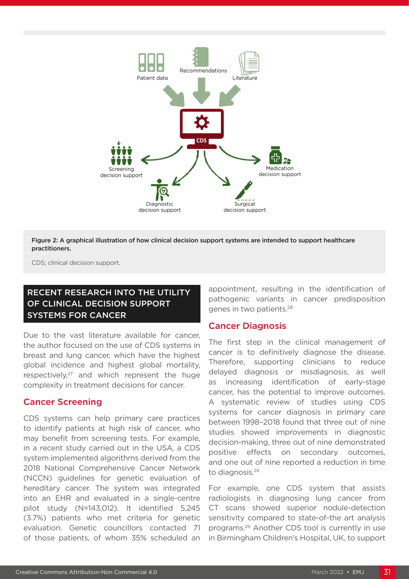

Figure 2: A graphical illustration of how clinical decision support systems are intended to support healthcare practitioners.

CDS; clinical decision support.

# RECENT RESEARCH INTO THE UTILITY OF CLINICAL DECISION SUPPORT SYSTEMS FOR CANCER

Due to the vast literature available for cancer, the author focused on the use of CDS systems in breast and lung cancer, which have the highest global incidence and highest global mortality, respectively, $27$  and which represent the huge complexity in treatment decisions for cancer.

#### Cancer Screening

CDS systems can help primary care practices to identify patients at high risk of cancer, who may benefit from screening tests. For example, in a recent study carried out in the USA, a CDS system implemented algorithms derived from the 2018 National Comprehensive Cancer Network (NCCN) guidelines for genetic evaluation of hereditary cancer. The system was integrated into an EHR and evaluated in a single-centre pilot study (N=143,012). It identified 5,245 (3.7%) patients who met criteria for genetic evaluation. Genetic councillors contacted 71 of those patients, of whom 35% scheduled an

appointment, resulting in the identification of pathogenic variants in cancer predisposition genes in two patients.28

#### Cancer Diagnosis

The first step in the clinical management of cancer is to definitively diagnose the disease. Therefore, supporting clinicians to reduce delayed diagnosis or misdiagnosis, as well as increasing identification of early-stage cancer, has the potential to improve outcomes. A systematic review of studies using CDS systems for cancer diagnosis in primary care between 1998–2018 found that three out of nine studies showed improvements in diagnostic decision-making, three out of nine demonstrated positive effects on secondary outcomes, and one out of nine reported a reduction in time to diagnosis.<sup>24</sup>

For example, one CDS system that assists radiologists in diagnosing lung cancer from CT scans showed superior nodule-detection sensitivity compared to state-of-the art analysis programs.29 Another CDS tool is currently in use in Birmingham Children's Hospital, UK, to support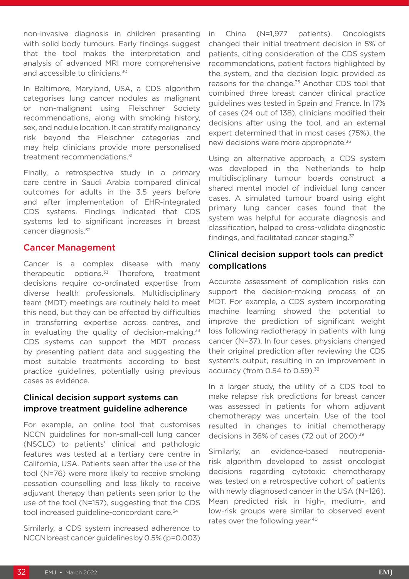non-invasive diagnosis in children presenting with solid body tumours. Early findings suggest that the tool makes the interpretation and analysis of advanced MRI more comprehensive and accessible to clinicians.<sup>30</sup>

In Baltimore, Maryland, USA, a CDS algorithm categorises lung cancer nodules as malignant or non-malignant using Fleischner Society recommendations, along with smoking history, sex, and nodule location. It can stratify malignancy risk beyond the Fleischner categories and may help clinicians provide more personalised treatment recommendations.<sup>31</sup>

Finally, a retrospective study in a primary care centre in Saudi Arabia compared clinical outcomes for adults in the 3.5 years before and after implementation of EHR-integrated CDS systems. Findings indicated that CDS systems led to significant increases in breast cancer diagnosis.<sup>32</sup>

#### Cancer Management

Cancer is a complex disease with many therapeutic options. $33$  Therefore, treatment decisions require co-ordinated expertise from diverse health professionals. Multidisciplinary team (MDT) meetings are routinely held to meet this need, but they can be affected by difficulties in transferring expertise across centres, and in evaluating the quality of decision-making. $33$ CDS systems can support the MDT process by presenting patient data and suggesting the most suitable treatments according to best practice guidelines, potentially using previous cases as evidence.

#### Clinical decision support systems can improve treatment guideline adherence

For example, an online tool that customises NCCN guidelines for non-small-cell lung cancer (NSCLC) to patients' clinical and pathologic features was tested at a tertiary care centre in California, USA. Patients seen after the use of the tool (N=76) were more likely to receive smoking cessation counselling and less likely to receive adjuvant therapy than patients seen prior to the use of the tool (N=157), suggesting that the CDS tool increased guideline-concordant care.<sup>34</sup>

Similarly, a CDS system increased adherence to NCCN breast cancer guidelines by 0.5% (p=0.003) in China (N=1,977 patients). Oncologists changed their initial treatment decision in 5% of patients, citing consideration of the CDS system recommendations, patient factors highlighted by the system, and the decision logic provided as reasons for the change.<sup>35</sup> Another CDS tool that combined three breast cancer clinical practice guidelines was tested in Spain and France. In 17% of cases (24 out of 138), clinicians modified their decisions after using the tool, and an external expert determined that in most cases (75%), the new decisions were more appropriate.36

Using an alternative approach, a CDS system was developed in the Netherlands to help multidisciplinary tumour boards construct a shared mental model of individual lung cancer cases. A simulated tumour board using eight primary lung cancer cases found that the system was helpful for accurate diagnosis and classification, helped to cross-validate diagnostic findings, and facilitated cancer staging.<sup>37</sup>

#### Clinical decision support tools can predict complications

Accurate assessment of complication risks can support the decision-making process of an MDT. For example, a CDS system incorporating machine learning showed the potential to improve the prediction of significant weight loss following radiotherapy in patients with lung cancer (N=37). In four cases, physicians changed their original prediction after reviewing the CDS system's output, resulting in an improvement in accuracy (from 0.54 to 0.59).<sup>38</sup>

In a larger study, the utility of a CDS tool to make relapse risk predictions for breast cancer was assessed in patients for whom adjuvant chemotherapy was uncertain. Use of the tool resulted in changes to initial chemotherapy decisions in 36% of cases (72 out of 200).<sup>39</sup>

Similarly, an evidence-based neutropeniarisk algorithm developed to assist oncologist decisions regarding cytotoxic chemotherapy was tested on a retrospective cohort of patients with newly diagnosed cancer in the USA (N=126). Mean predicted risk in high-, medium-, and low-risk groups were similar to observed event rates over the following year.<sup>40</sup>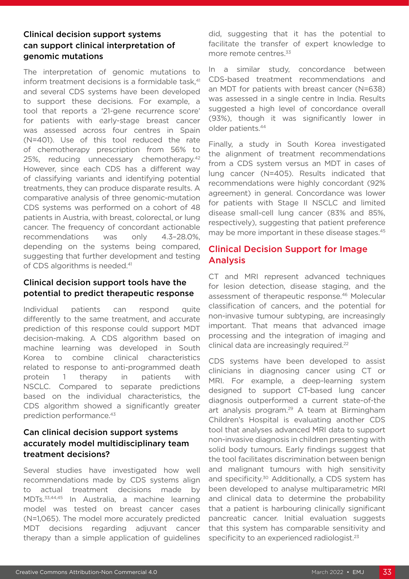### Clinical decision support systems can support clinical interpretation of genomic mutations

The interpretation of genomic mutations to inform treatment decisions is a formidable task,<sup>41</sup> and several CDS systems have been developed to support these decisions. For example, a tool that reports a '21-gene recurrence score' for patients with early-stage breast cancer was assessed across four centres in Spain (N=401). Use of this tool reduced the rate of chemotherapy prescription from 56% to 25%, reducing unnecessary chemotherapy.<sup>42</sup> However, since each CDS has a different way of classifying variants and identifying potential treatments, they can produce disparate results. A comparative analysis of three genomic-mutation CDS systems was performed on a cohort of 48 patients in Austria, with breast, colorectal, or lung cancer. The frequency of concordant actionable recommendations was only 4.3–28.0%, depending on the systems being compared, suggesting that further development and testing of CDS algorithms is needed.<sup>41</sup>

#### Clinical decision support tools have the potential to predict therapeutic response

Individual patients can respond quite differently to the same treatment, and accurate prediction of this response could support MDT decision-making. A CDS algorithm based on machine learning was developed in South Korea to combine clinical characteristics related to response to anti-programmed death protein 1 therapy in patients with NSCLC. Compared to separate predictions based on the individual characteristics, the CDS algorithm showed a significantly greater prediction performance.43

### Can clinical decision support systems accurately model multidisciplinary team treatment decisions?

Several studies have investigated how well recommendations made by CDS systems align to actual treatment decisions made by MDTs.33,44,45 In Australia, a machine learning model was tested on breast cancer cases (N=1,065). The model more accurately predicted MDT decisions regarding adjuvant cancer therapy than a simple application of guidelines

did, suggesting that it has the potential to facilitate the transfer of expert knowledge to more remote centres.<sup>33</sup>

In a similar study, concordance between CDS-based treatment recommendations and an MDT for patients with breast cancer (N=638) was assessed in a single centre in India. Results suggested a high level of concordance overall (93%), though it was significantly lower in older patients.44

Finally, a study in South Korea investigated the alignment of treatment recommendations from a CDS system versus an MDT in cases of lung cancer (N=405). Results indicated that recommendations were highly concordant (92% agreement) in general. Concordance was lower for patients with Stage II NSCLC and limited disease small-cell lung cancer (83% and 85%, respectively), suggesting that patient preference may be more important in these disease stages.<sup>45</sup>

# Clinical Decision Support for Image Analysis

CT and MRI represent advanced techniques for lesion detection, disease staging, and the assessment of therapeutic response.46 Molecular classification of cancers, and the potential for non-invasive tumour subtyping, are increasingly important. That means that advanced image processing and the integration of imaging and clinical data are increasingly required.<sup>22</sup>

CDS systems have been developed to assist clinicians in diagnosing cancer using CT or MRI. For example, a deep-learning system designed to support CT-based lung cancer diagnosis outperformed a current state-of-the art analysis program.<sup>29</sup> A team at Birmingham Children's Hospital is evaluating another CDS tool that analyses advanced MRI data to support non-invasive diagnosis in children presenting with solid body tumours. Early findings suggest that the tool facilitates discrimination between benign and malignant tumours with high sensitivity and specificity.<sup>30</sup> Additionally, a CDS system has been developed to analyse multiparametric MRI and clinical data to determine the probability that a patient is harbouring clinically significant pancreatic cancer. Initial evaluation suggests that this system has comparable sensitivity and specificity to an experienced radiologist.<sup>23</sup>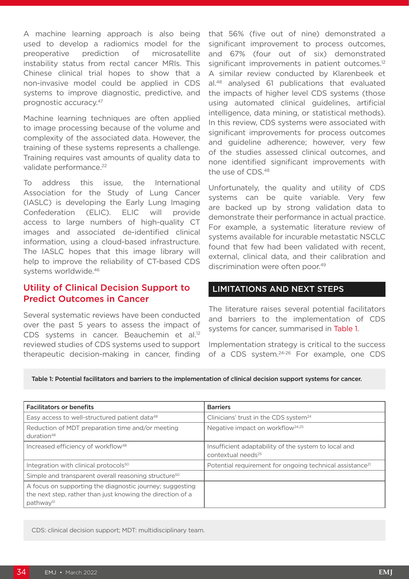A machine learning approach is also being used to develop a radiomics model for the preoperative prediction of microsatellite instability status from rectal cancer MRIs. This Chinese clinical trial hopes to show that a non-invasive model could be applied in CDS systems to improve diagnostic, predictive, and prognostic accuracy.47

Machine learning techniques are often applied to image processing because of the volume and complexity of the associated data. However, the training of these systems represents a challenge. Training requires vast amounts of quality data to validate performance.<sup>22</sup>

To address this issue, the International Association for the Study of Lung Cancer (IASLC) is developing the Early Lung Imaging Confederation (ELIC). ELIC will provide access to large numbers of high-quality CT images and associated de-identified clinical information, using a cloud-based infrastructure. The IASLC hopes that this image library will help to improve the reliability of CT-based CDS systems worldwide.46

# Utility of Clinical Decision Support to Predict Outcomes in Cancer

Several systematic reviews have been conducted over the past 5 years to assess the impact of CDS systems in cancer. Beauchemin et al.<sup>12</sup> reviewed studies of CDS systems used to support therapeutic decision-making in cancer, finding

that 56% (five out of nine) demonstrated a significant improvement to process outcomes, and 67% (four out of six) demonstrated significant improvements in patient outcomes.<sup>12</sup> A similar review conducted by Klarenbeek et al.48 analysed 61 publications that evaluated the impacts of higher level CDS systems (those using automated clinical guidelines, artificial intelligence, data mining, or statistical methods). In this review, CDS systems were associated with significant improvements for process outcomes and guideline adherence; however, very few of the studies assessed clinical outcomes, and none identified significant improvements with the use of CDS.48

Unfortunately, the quality and utility of CDS systems can be quite variable. Very few are backed up by strong validation data to demonstrate their performance in actual practice. For example, a systematic literature review of systems available for incurable metastatic NSCLC found that few had been validated with recent, external, clinical data, and their calibration and discrimination were often poor.<sup>49</sup>

#### LIMITATIONS AND NEXT STEPS

The literature raises several potential facilitators and barriers to the implementation of CDS systems for cancer, summarised in Table 1.

Implementation strategy is critical to the success of a CDS system.<sup>24-26</sup> For example, one CDS

Table 1: Potential facilitators and barriers to the implementation of clinical decision support systems for cancer.

| <b>Facilitators or benefits</b>                                                                                                                 | <b>Barriers</b>                                                                        |
|-------------------------------------------------------------------------------------------------------------------------------------------------|----------------------------------------------------------------------------------------|
| Easy access to well-structured patient data <sup>48</sup>                                                                                       | Clinicians' trust in the CDS system <sup>24</sup>                                      |
| Reduction of MDT preparation time and/or meeting<br>duration <sup>48</sup>                                                                      | Negative impact on workflow <sup>24,25</sup>                                           |
| Increased efficiency of workflow <sup>48</sup>                                                                                                  | Insufficient adaptability of the system to local and<br>contextual needs <sup>25</sup> |
| Integration with clinical protocols <sup>50</sup>                                                                                               | Potential requirement for ongoing technical assistance <sup>21</sup>                   |
| Simple and transparent overall reasoning structure <sup>50</sup>                                                                                |                                                                                        |
| A focus on supporting the diagnostic journey; suggesting<br>the next step, rather than just knowing the direction of a<br>pathway <sup>51</sup> |                                                                                        |

CDS: clinical decision support; MDT: multidisciplinary team.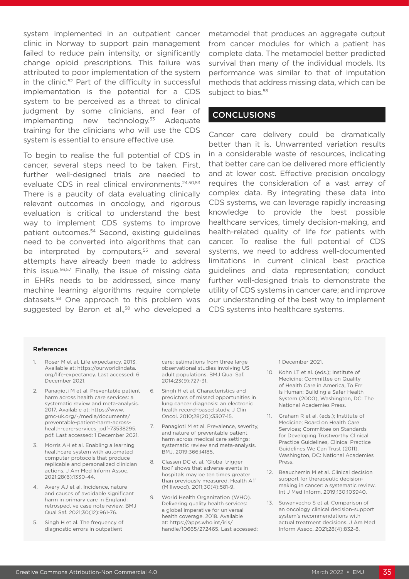system implemented in an outpatient cancer clinic in Norway to support pain management failed to reduce pain intensity, or significantly change opioid prescriptions. This failure was attributed to poor implementation of the system in the clinic.<sup>52</sup> Part of the difficulty in successful implementation is the potential for a CDS system to be perceived as a threat to clinical judgment by some clinicians, and fear of implementing new technology.53 Adequate training for the clinicians who will use the CDS system is essential to ensure effective use.

To begin to realise the full potential of CDS in cancer, several steps need to be taken. First, further well-designed trials are needed to evaluate CDS in real clinical environments.<sup>24,50,53</sup> There is a paucity of data evaluating clinically relevant outcomes in oncology, and rigorous evaluation is critical to understand the best way to implement CDS systems to improve patient outcomes.54 Second, existing guidelines need to be converted into algorithms that can be interpreted by computers,<sup>55</sup> and several attempts have already been made to address this issue.56,57 Finally, the issue of missing data in EHRs needs to be addressed, since many machine learning algorithms require complete datasets.58 One approach to this problem was suggested by Baron et al.,<sup>58</sup> who developed a

metamodel that produces an aggregate output from cancer modules for which a patient has complete data. The metamodel better predicted survival than many of the individual models. Its performance was similar to that of imputation methods that address missing data, which can be subject to bias.<sup>58</sup>

#### **CONCLUSIONS**

Cancer care delivery could be dramatically better than it is. Unwarranted variation results in a considerable waste of resources, indicating that better care can be delivered more efficiently and at lower cost. Effective precision oncology requires the consideration of a vast array of complex data. By integrating these data into CDS systems, we can leverage rapidly increasing knowledge to provide the best possible healthcare services, timely decision-making, and health-related quality of life for patients with cancer. To realise the full potential of CDS systems, we need to address well-documented limitations in current clinical best practice guidelines and data representation; conduct further well-designed trials to demonstrate the utility of CDS systems in cancer care; and improve our understanding of the best way to implement CDS systems into healthcare systems.

#### References

- 1. Roser M et al. Life expectancy. 2013. Available at: https://ourworldindata. org/life-expectancy. Last accessed: 6 December 2021.
- 2. Panagioti M et al. Preventable patient harm across health care services: a systematic review and meta-analysis. 2017. Available at: https://www. gmc-uk.org/-/media/documents/ preventable-patient-harm-acrosshealth-care-services\_pdf-73538295. pdf. Last accessed: 1 December 2021.
- 3. Morris AH et al. Enabling a learning healthcare system with automated computer protocols that produce replicable and personalized clinician actions. J Am Med Inform Assoc. 2021;28(6):1330-44.
- 4. Avery AJ et al. Incidence, nature and causes of avoidable significant harm in primary care in England: retrospective case note review. BMJ Qual Saf. 2021;30(12):961-76.
- 5. Singh H et al. The frequency of diagnostic errors in outpatient

care: estimations from three large observational studies involving US adult populations. BMJ Qual Saf. 2014;23(9):727-31.

- 6. Singh H et al. Characteristics and predictors of missed opportunities in lung cancer diagnosis: an electronic health record–based study. J Clin Oncol. 2010;28(20):3307-15.
- 7. Panagioti M et al. Prevalence, severity, and nature of preventable patient harm across medical care settings: systematic review and meta-analysis. BMJ. 2019;366:l4185.
- 8. Classen DC et al. 'Global trigger tool' shows that adverse events in hospitals may be ten times greater than previously measured. Health Aff (Millwood). 2011;30(4):581-9.
- 9. World Health Organization (WHO). Delivering quality health services: a global imperative for universal health coverage. 2018. Available at: https://apps.who.int/iris/ handle/10665/272465. Last accessed:

1 December 2021.

- 10. Kohn LT et al. (eds.); Institute of Medicine; Committee on Quality of Health Care in America, To Err Is Human: Building a Safer Health System (2000), Washington, DC: The National Academies Press.
- 11. Graham R et al. (eds.); Institute of Medicine; Board on Health Care Services; Committee on Standards for Developing Trustworthy Clinical Practice Guidelines, Clinical Practice Guidelines We Can Trust (2011), Washington, DC: National Academies Press.
- 12. Beauchemin M et al. Clinical decision support for therapeutic decisionmaking in cancer: a systematic review. Int J Med Inform. 2019;130:103940.
- 13. Suwanvecho S et al. Comparison of an oncology clinical decision-support system's recommendations with actual treatment decisions. J Am Med Inform Assoc. 2021;28(4):832-8.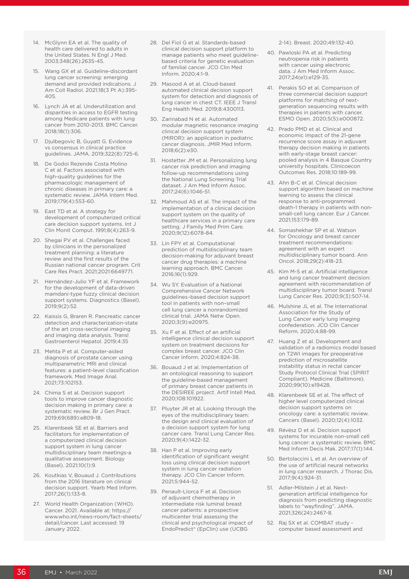- 14. McGlynn EA et al. The quality of health care delivered to adults in the United States. N Engl J Med. 2003;348(26):2635-45.
- 15. Wang GX et al. Guideline-discordant lung cancer screening: emerging demand and provided indications. J Am Coll Radiol. 2021;18(3 Pt A):395- 405.
- 16. Lynch JA et al. Underutilization and disparities in access to EGFR testing among Medicare patients with lung cancer from 2010-2013. BMC Cancer. 2018;18(1):306.
- 17. Djulbegovic B, Guyatt G. Evidence vs consensus in clinical practice guidelines. JAMA. 2019;322(8):725-6.
- 18. De Godoi Rezende Costa Molino C et al. Factors associated with high-quality guidelines for the pharmacologic management of chronic diseases in primary care: a systematic review. JAMA Intern Med. 2019;179(4):553-60.
- 19. East TD et al. A strategy for development of computerized critical care decision support systems. Int J Clin Monit Comput. 1991;8(4):263-9.
- 20. Shegai PV et al. Challenges faced by clinicians in the personalized treatment planning: a literature review and the first results of the Russian national cancer program. Crit Care Res Pract. 2021;2021:6649771.
- 21. Hernández-Julio YF et al. Framework for the development of data-driven mamdani-type fuzzy clinical decision support systems. Diagnostics (Basel). 2019;9(2):52.
- 22. Kaissis G, Braren R. Pancreatic cancer detection and characterization-state of the art cross-sectional imaging and imaging data analysis. Transl Gastroenterol Hepatol. 2019;4:35
- 23. Mehta P et al. Computer-aided diagnosis of prostate cancer using multiparametric MRI and clinical features: a patient-level classification framework. Med Image Anal. 2021;73:102153.
- 24. Chima S et al. Decision support tools to improve cancer diagnostic decision making in primary care: a systematic review. Br J Gen Pract. 2019;69(689):e809-18.
- 25. Klarenbeek SE et al. Barriers and facilitators for implementation of a computerized clinical decision support system in lung cancer multidisciplinary team meetings-a qualitative assessment. Biology (Basel). 2021;10(1):9.
- 26. Koutkias V, Bouaud J. Contributions from the 2016 literature on clinical decision support. Yearb Med Inform. 2017;26(1):133-8.
- 27. World Health Organization (WHO). Cancer. 2021. Available at: https:// www.who.int/news-room/fact-sheets/ detail/cancer. Last accessed: 19 January 2022.
- 28. Del Fiol G et al. Standards-based clinical decision support platform to manage patients who meet guidelinebased criteria for genetic evaluation of familial cancer. JCO Clin Med Inform. 2020;4:1-9.
- 29. Masood A et al. Cloud-based automated clinical decision support system for detection and diagnosis of lung cancer in chest CT. IEEE J Transl Eng Health Med. 2019;8:4300113.
- 30. Zarinabad N et al. Automated modular magnetic resonance imaging clinical decision support system (MIROR): an application in pediatric cancer diagnosis. JMIR Med Inform. 2018;6(2):e30.
- 31. Hostetter JM et al. Personalizing lung cancer risk prediction and imaging follow-up recommendations using the National Lung Screening Trial dataset. J Am Med Inform Assoc. 2017;24(6):1046-51.
- 32. Mahmoud AS et al. The impact of the implementation of a clinical decision support system on the quality of healthcare services in a primary care setting. J Family Med Prim Care. 2020;9(12):6078-84.
- 33. Lin FPY et al. Computational prediction of multidisciplinary team decision-making for adjuvant breast cancer drug therapies: a machine learning approach. BMC Cancer. 2016;16(1):929.
- 34. Wu SY. Evaluation of a National Comprehensive Cancer Network guidelines–based decision support tool in patients with non–small cell lung cancer a nonrandomized clinical trial. JAMA Netw Open. 2020;3(9):e20975.
- 35. Xu F et al. Effect of an artificial intelligence clinical decision support system on treatment decisions for complex breast cancer. JCO Clin Cancer Inform. 2020;4:824-38.
- 36. Bouaud J et al. Implementation of an ontological reasoning to support the guideline-based management of primary breast cancer patients in the DESIREE project. Artif Intell Med. 2020;108:101922.
- 37. Pluyter JR et al. Looking through the eyes of the multidisciplinary team: the design and clinical evaluation of a decision support system for lung cancer care. Transl Lung Cancer Res. 2020;9(4):1422-32.
- 38. Han P et al. Improving early identification of significant weight loss using clinical decision support system in lung cancer radiation therapy. JCO Clin Cancer Inform. 2021;5:944-52.
- 39. Penault-Llorca F et al. Decision of adjuvant chemotherapy in intermediate risk luminal breast cancer patients: a prospective multicenter trial assessing the clinical and psychological impact of EndoPredict® (EpClin) use (UCBG

2-14). Breast. 2020;49:132-40.

- 40. Pawloski PA et al. Predicting neutropenia risk in patients with cancer using electronic data. J Am Med Inform Assoc. 2017;24(e1):e129-35.
- 41. Perakis SO et al. Comparison of three commercial decision support platforms for matching of nextgeneration sequencing results with therapies in patients with cancer. ESMO Open. 2020;5(5):e000872.
- 42. Prado PMD et al. Clinical and economic impact of the 21-gene recurrence score assay in adjuvant therapy decision making in patients with early-stage breast cancer: pooled analysis in 4 Basque Country university hospitals. Clinicoecon Outcomes Res. 2018;10:189-99.
- 43. Ahn B-C et al. Clinical decision support algorithm based on machine learning to assess the clinical response to anti-programmed death-1 therapy in patients with nonsmall-cell lung cancer. Eur J Cancer. 2021;153:179-89.
- 44. Somashekhar SP et al. Watson for Oncology and breast cancer treatment recommendations: agreement with an expert multidisciplinary tumor board. Ann Oncol. 2018;29(2):418-23.
- 45. Kim M-S et al. Artificial intelligence and lung cancer treatment decision: agreement with recommendation of multidisciplinary tumor board. Transl Lung Cancer Res. 2020;9(3):507-14.
- 46. Mulshine JL et al. The International Association for the Study of Lung Cancer early lung imaging confederation. JCO Clin Cancer Reform. 2020;4:88-99.
- 47. Huang Z et al. Development and validation of a radiomics model based on T2WI images for preoperative prediction of microsatellite instability status in rectal cancer Study Protocol Clinical Trial (SPIRIT Compliant). Medicine (Baltimore). 2020;99(10):e19428.
- 48. Klarenbeek SE et al. The effect of higher level computerized clinical decision support systems on oncology care: a systematic review. Cancers (Basel). 2020;12(4):1032.
- 49. Révész D et al. Decision support systems for incurable non-small cell lung cancer: a systematic review. BMC Med Inform Decis Mak. 2017;17(1):144.
- 50. Bertolaccini L et al. An overview of the use of artificial neural networks in lung cancer research. J Thorac Dis. 2017;9(4):924-31.
- 51. Adler-Milstein J et al. Nextgeneration artificial intelligence for diagnosis from predicting diagnostic labels to "wayfinding". JAMA. 2021;326(24):2467-8.
- 52. Raj SX et al. COMBAT study computer based assessment and